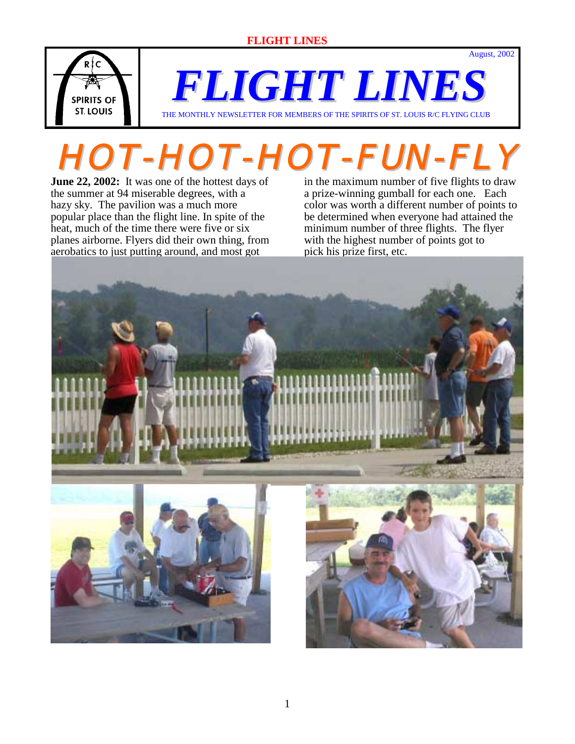

*FLIGHT LINES*

THE MONTHLY NEWSLETTER FOR MEMBERS OF THE SPIRITS OF ST. LOUIS R/C FLYING CLUB

# **HOT-HOT-HOT-FUN-FLY**

**June 22, 2002:** It was one of the hottest days of the summer at 94 miserable degrees, with a hazy sky. The pavilion was a much more popular place than the flight line. In spite of the heat, much of the time there were five or six planes airborne. Flyers did their own thing, from aerobatics to just putting around, and most got

in the maximum number of five flights to draw a prize-winning gumball for each one. Each color was worth a different number of points to be determined when everyone had attained the minimum number of three flights. The flyer with the highest number of points got to pick his prize first, etc.

August, 2002

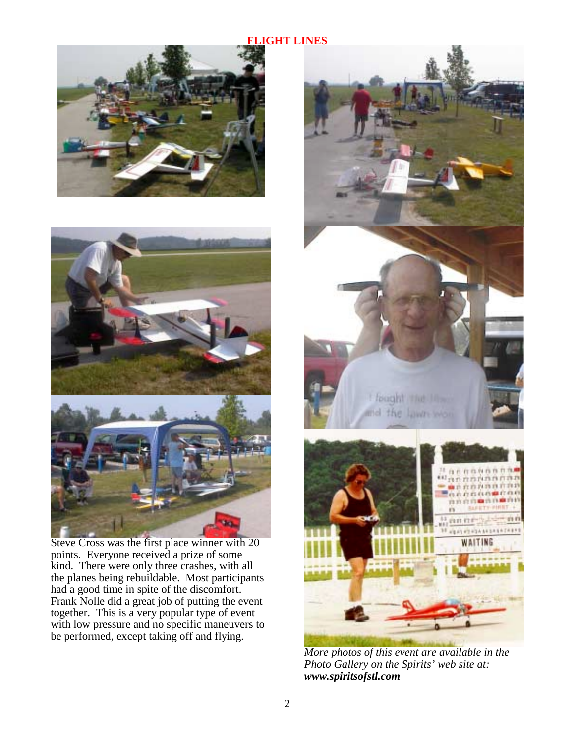



 Steve Cross was the first place winner with 20 points. Everyone received a prize of some kind. There were only three crashes, with all the planes being rebuildable. Most participants had a good time in spite of the discomfort. Frank Nolle did a great job of putting the event together. This is a very popular type of event with low pressure and no specific maneuvers to be performed, except taking off and flying.



*More photos of this event are available in the Photo Gallery on the Spirits' web site at: www.spiritsofstl.com*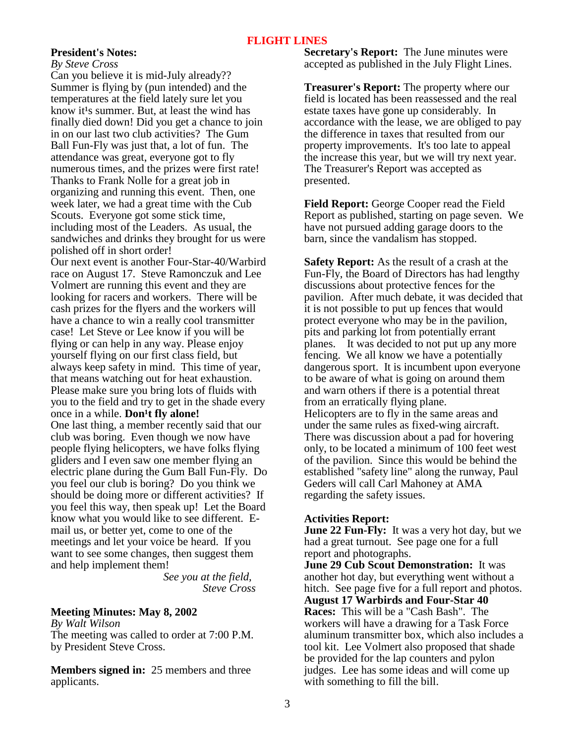#### **President's Notes:**

*By Steve Cross* 

Can you believe it is mid-July already?? Summer is flying by (pun intended) and the temperatures at the field lately sure let you know it<sup>1</sup>s summer. But, at least the wind has finally died down! Did you get a chance to join in on our last two club activities? The Gum Ball Fun-Fly was just that, a lot of fun. The attendance was great, everyone got to fly numerous times, and the prizes were first rate! Thanks to Frank Nolle for a great job in organizing and running this event. Then, one week later, we had a great time with the Cub Scouts. Everyone got some stick time, including most of the Leaders. As usual, the sandwiches and drinks they brought for us were polished off in short order! Our next event is another Four-Star-40/Warbird race on August 17. Steve Ramonczuk and Lee Volmert are running this event and they are looking for racers and workers. There will be cash prizes for the flyers and the workers will have a chance to win a really cool transmitter case! Let Steve or Lee know if you will be flying or can help in any way. Please enjoy yourself flying on our first class field, but always keep safety in mind. This time of year, that means watching out for heat exhaustion. Please make sure you bring lots of fluids with you to the field and try to get in the shade every once in a while. **Don't fly alone!** One last thing, a member recently said that our club was boring. Even though we now have people flying helicopters, we have folks flying gliders and I even saw one member flying an electric plane during the Gum Ball Fun-Fly. Do you feel our club is boring? Do you think we should be doing more or different activities? If you feel this way, then speak up! Let the Board know what you would like to see different. Email us, or better yet, come to one of the meetings and let your voice be heard. If you want to see some changes, then suggest them and help implement them!

 *See you at the field, Steve Cross*

#### **Meeting Minutes: May 8, 2002**

*By Walt Wilson*  The meeting was called to order at 7:00 P.M. by President Steve Cross.

**Members signed in:** 25 members and three applicants.

**Secretary's Report:** The June minutes were accepted as published in the July Flight Lines.

**Treasurer's Report:** The property where our field is located has been reassessed and the real estate taxes have gone up considerably. In accordance with the lease, we are obliged to pay the difference in taxes that resulted from our property improvements. It's too late to appeal the increase this year, but we will try next year. The Treasurer's Report was accepted as presented.

**Field Report:** George Cooper read the Field Report as published, starting on page seven. We have not pursued adding garage doors to the barn, since the vandalism has stopped.

**Safety Report:** As the result of a crash at the Fun-Fly, the Board of Directors has had lengthy discussions about protective fences for the pavilion. After much debate, it was decided that it is not possible to put up fences that would protect everyone who may be in the pavilion, pits and parking lot from potentially errant planes. It was decided to not put up any more fencing. We all know we have a potentially dangerous sport. It is incumbent upon everyone to be aware of what is going on around them and warn others if there is a potential threat from an erratically flying plane. Helicopters are to fly in the same areas and under the same rules as fixed-wing aircraft. There was discussion about a pad for hovering only, to be located a minimum of 100 feet west of the pavilion. Since this would be behind the established "safety line" along the runway, Paul Geders will call Carl Mahoney at AMA regarding the safety issues.

#### **Activities Report:**

**June 22 Fun-Fly:** It was a very hot day, but we had a great turnout. See page one for a full report and photographs.

**June 29 Cub Scout Demonstration:** It was another hot day, but everything went without a hitch. See page five for a full report and photos. **August 17 Warbirds and Four-Star 40 Races:** This will be a "Cash Bash". The workers will have a drawing for a Task Force aluminum transmitter box, which also includes a tool kit. Lee Volmert also proposed that shade be provided for the lap counters and pylon judges. Lee has some ideas and will come up with something to fill the bill.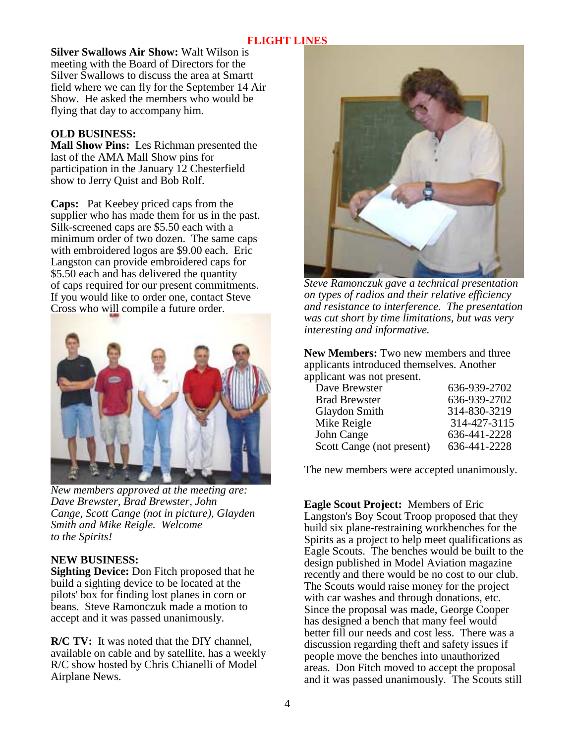**Silver Swallows Air Show:** Walt Wilson is meeting with the Board of Directors for the Silver Swallows to discuss the area at Smartt field where we can fly for the September 14 Air Show. He asked the members who would be flying that day to accompany him.

#### **OLD BUSINESS:**

**Mall Show Pins:** Les Richman presented the last of the AMA Mall Show pins for participation in the January 12 Chesterfield show to Jerry Quist and Bob Rolf.

**Caps:** Pat Keebey priced caps from the supplier who has made them for us in the past. Silk-screened caps are \$5.50 each with a minimum order of two dozen. The same caps with embroidered logos are \$9.00 each. Eric Langston can provide embroidered caps for \$5.50 each and has delivered the quantity of caps required for our present commitments. If you would like to order one, contact Steve Cross who will compile a future order.



*New members approved at the meeting are: Dave Brewster, Brad Brewster, John Cange, Scott Cange (not in picture), Glayden Smith and Mike Reigle. Welcome to the Spirits!* 

#### **NEW BUSINESS:**

**Sighting Device:** Don Fitch proposed that he build a sighting device to be located at the pilots' box for finding lost planes in corn or beans. Steve Ramonczuk made a motion to accept and it was passed unanimously.

**R/C TV:** It was noted that the DIY channel, available on cable and by satellite, has a weekly R/C show hosted by Chris Chianelli of Model Airplane News.



*Steve Ramonczuk gave a technical presentation on types of radios and their relative efficiency and resistance to interference. The presentation was cut short by time limitations, but was very interesting and informative.* 

**New Members:** Two new members and three applicants introduced themselves. Another applicant was not present.

| Dave Brewster             | 636-939-2702 |
|---------------------------|--------------|
| <b>Brad Brewster</b>      | 636-939-2702 |
| Glaydon Smith             | 314-830-3219 |
| Mike Reigle               | 314-427-3115 |
| John Cange                | 636-441-2228 |
| Scott Cange (not present) | 636-441-2228 |
|                           |              |

The new members were accepted unanimously.

**Eagle Scout Project:** Members of Eric Langston's Boy Scout Troop proposed that they build six plane-restraining workbenches for the Spirits as a project to help meet qualifications as Eagle Scouts. The benches would be built to the design published in Model Aviation magazine recently and there would be no cost to our club. The Scouts would raise money for the project with car washes and through donations, etc. Since the proposal was made, George Cooper has designed a bench that many feel would better fill our needs and cost less. There was a discussion regarding theft and safety issues if people move the benches into unauthorized areas. Don Fitch moved to accept the proposal and it was passed unanimously. The Scouts still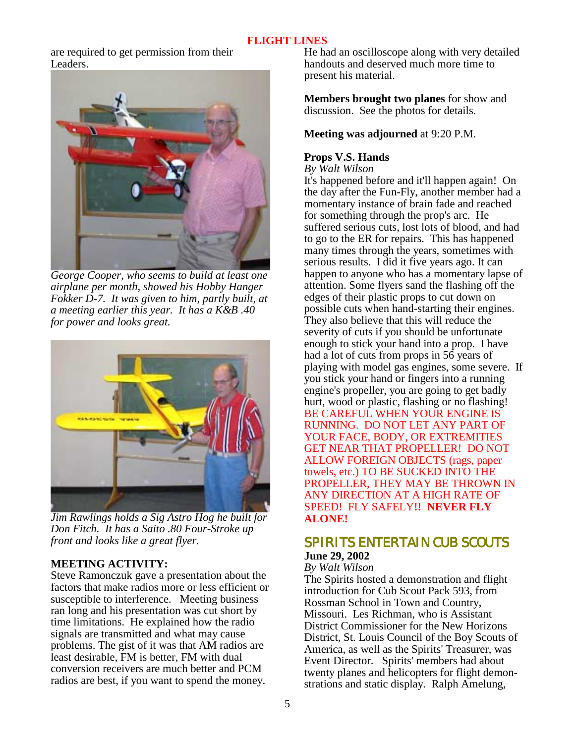are required to get permission from their Leaders.



*George Cooper, who seems to build at least one airplane per month, showed his Hobby Hanger Fokker D-7. It was given to him, partly built, at a meeting earlier this year. It has a K&B .40 for power and looks great.* 



*Jim Rawlings holds a Sig Astro Hog he built for Don Fitch. It has a Saito .80 Four-Stroke up front and looks like a great flyer.*

# **MEETING ACTIVITY:**

Steve Ramonczuk gave a presentation about the factors that make radios more or less efficient or susceptible to interference. Meeting business ran long and his presentation was cut short by time limitations. He explained how the radio signals are transmitted and what may cause problems. The gist of it was that AM radios are least desirable, FM is better, FM with dual conversion receivers are much better and PCM radios are best, if you want to spend the money.

He had an oscilloscope along with very detailed handouts and deserved much more time to present his material.

**Members brought two planes** for show and discussion. See the photos for details.

#### **Meeting was adjourned** at 9:20 P.M.

#### **Props V.S. Hands**

*By Walt Wilson*

It's happened before and it'll happen again! On the day after the Fun-Fly, another member had a momentary instance of brain fade and reached for something through the prop's arc. He suffered serious cuts, lost lots of blood, and had to go to the ER for repairs. This has happened many times through the years, sometimes with serious results. I did it five years ago. It can happen to anyone who has a momentary lapse of attention. Some flyers sand the flashing off the edges of their plastic props to cut down on possible cuts when hand-starting their engines. They also believe that this will reduce the severity of cuts if you should be unfortunate enough to stick your hand into a prop. I have had a lot of cuts from props in 56 years of playing with model gas engines, some severe. If you stick your hand or fingers into a running engine's propeller, you are going to get badly hurt, wood or plastic, flashing or no flashing! BE CAREFUL WHEN YOUR ENGINE IS RUNNING. DO NOT LET ANY PART OF YOUR FACE, BODY, OR EXTREMITIES GET NEAR THAT PROPELLER! DO NOT ALLOW FOREIGN OBJECTS (rags, paper towels, etc.) TO BE SUCKED INTO THE PROPELLER, THEY MAY BE THROWN IN ANY DIRECTION AT A HIGH RATE OF SPEED! FLY SAFELY**!! NEVER FLY ALONE!**

# SPIRITS ENTERTAIN CUB SCOUTS **June 29, 2002**

#### *By Walt Wilson*

The Spirits hosted a demonstration and flight introduction for Cub Scout Pack 593, from Rossman School in Town and Country, Missouri. Les Richman, who is Assistant District Commissioner for the New Horizons District, St. Louis Council of the Boy Scouts of America, as well as the Spirits' Treasurer, was Event Director. Spirits' members had about twenty planes and helicopters for flight demonstrations and static display. Ralph Amelung,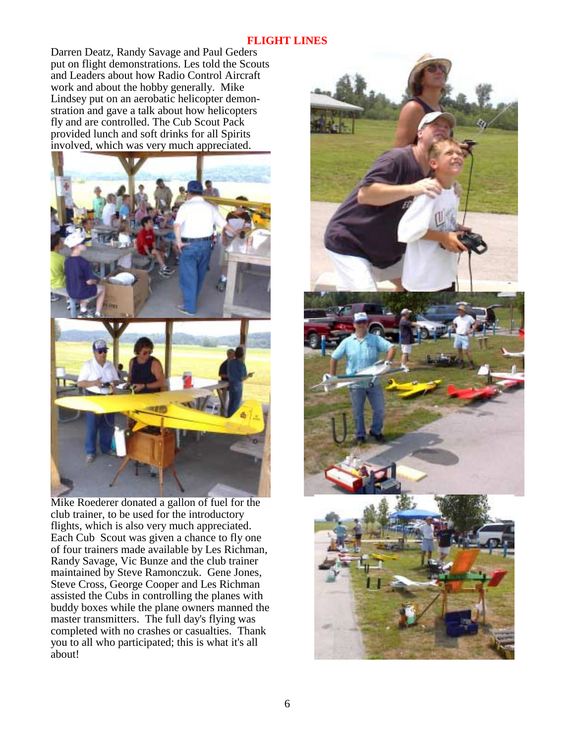Darren Deatz, Randy Savage and Paul Geders put on flight demonstrations. Les told the Scouts and Leaders about how Radio Control Aircraft work and about the hobby generally. Mike Lindsey put on an aerobatic helicopter demonstration and gave a talk about how helicopters fly and are controlled. The Cub Scout Pack provided lunch and soft drinks for all Spirits involved, which was very much appreciated.



Mike Roederer donated a gallon of fuel for the club trainer, to be used for the introductory flights, which is also very much appreciated. Each Cub Scout was given a chance to fly one of four trainers made available by Les Richman, Randy Savage, Vic Bunze and the club trainer maintained by Steve Ramonczuk. Gene Jones, Steve Cross, George Cooper and Les Richman assisted the Cubs in controlling the planes with buddy boxes while the plane owners manned the master transmitters. The full day's flying was completed with no crashes or casualties. Thank you to all who participated; this is what it's all about!

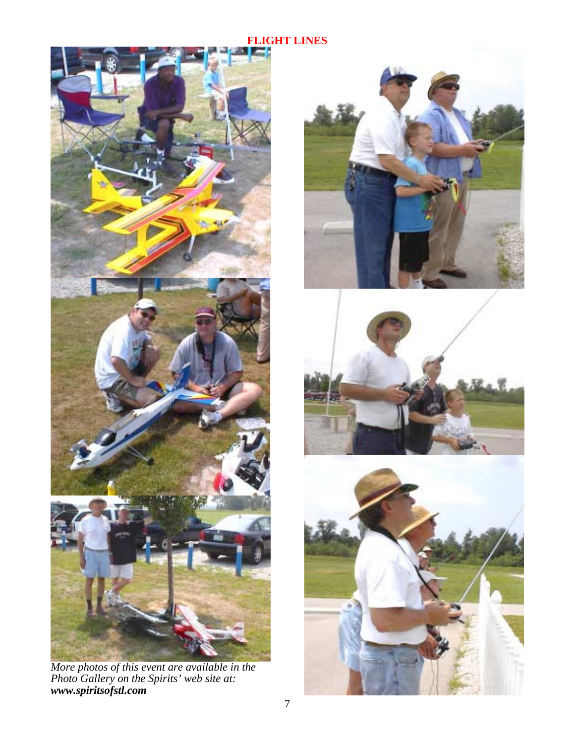

*More photos of this event are available in the Photo Gallery on the Spirits' web site at: www.spiritsofstl.com*





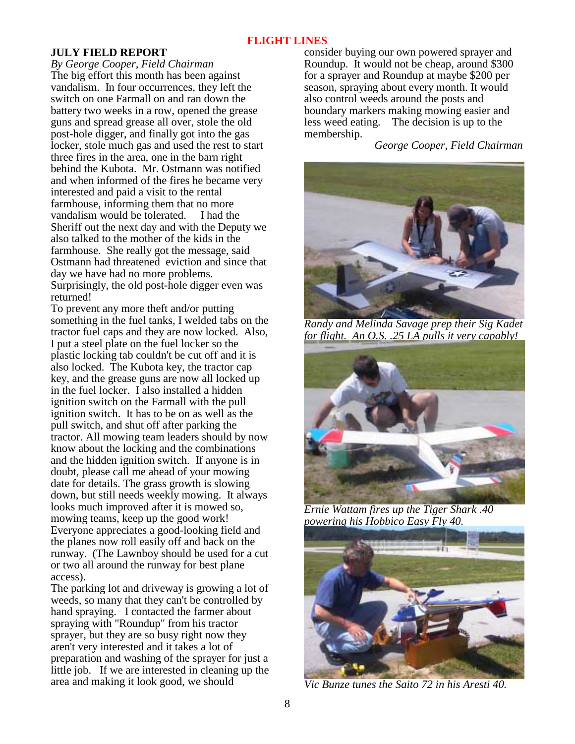#### **JULY FIELD REPORT**

*By George Cooper, Field Chairman* The big effort this month has been against vandalism. In four occurrences, they left the switch on one Farmall on and ran down the battery two weeks in a row, opened the grease guns and spread grease all over, stole the old post-hole digger, and finally got into the gas locker, stole much gas and used the rest to start three fires in the area, one in the barn right behind the Kubota. Mr. Ostmann was notified and when informed of the fires he became very interested and paid a visit to the rental farmhouse, informing them that no more vandalism would be tolerated. I had the Sheriff out the next day and with the Deputy we also talked to the mother of the kids in the farmhouse. She really got the message, said Ostmann had threatened eviction and since that day we have had no more problems. Surprisingly, the old post-hole digger even was returned!

To prevent any more theft and/or putting something in the fuel tanks, I welded tabs on the tractor fuel caps and they are now locked. Also, I put a steel plate on the fuel locker so the plastic locking tab couldn't be cut off and it is also locked. The Kubota key, the tractor cap key, and the grease guns are now all locked up in the fuel locker. I also installed a hidden ignition switch on the Farmall with the pull ignition switch. It has to be on as well as the pull switch, and shut off after parking the tractor. All mowing team leaders should by now know about the locking and the combinations and the hidden ignition switch. If anyone is in doubt, please call me ahead of your mowing date for details. The grass growth is slowing down, but still needs weekly mowing. It always looks much improved after it is mowed so, mowing teams, keep up the good work! Everyone appreciates a good-looking field and the planes now roll easily off and back on the runway. (The Lawnboy should be used for a cut or two all around the runway for best plane access).

The parking lot and driveway is growing a lot of weeds, so many that they can't be controlled by hand spraying. I contacted the farmer about spraying with "Roundup" from his tractor sprayer, but they are so busy right now they aren't very interested and it takes a lot of preparation and washing of the sprayer for just a little job. If we are interested in cleaning up the area and making it look good, we should

consider buying our own powered sprayer and Roundup. It would not be cheap, around \$300 for a sprayer and Roundup at maybe \$200 per season, spraying about every month. It would also control weeds around the posts and boundary markers making mowing easier and less weed eating. The decision is up to the membership.

 *George Cooper, Field Chairman* 



*Randy and Melinda Savage prep their Sig Kadet for flight. An O.S. .25 LA pulls it very capably!* 



*Ernie Wattam fires up the Tiger Shark .40 powering his Hobbico Easy Fly 40.* 



*Vic Bunze tunes the Saito 72 in his Aresti 40.*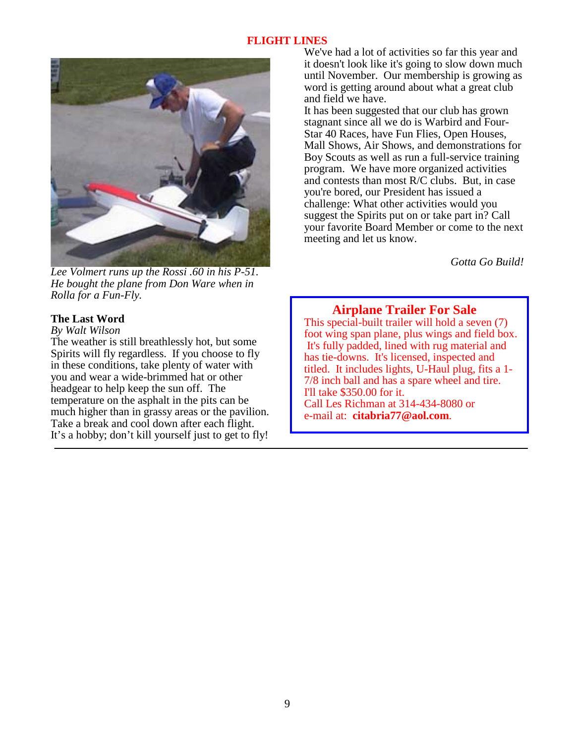

*Lee Volmert runs up the Rossi .60 in his P-51. He bought the plane from Don Ware when in Rolla for a Fun-Fly.* 

# **The Last Word**

*By Walt Wilson*

The weather is still breathlessly hot, but some Spirits will fly regardless. If you choose to fly in these conditions, take plenty of water with you and wear a wide-brimmed hat or other headgear to help keep the sun off. The temperature on the asphalt in the pits can be much higher than in grassy areas or the pavilion. Take a break and cool down after each flight. It's a hobby; don't kill yourself just to get to fly! We've had a lot of activities so far this year and it doesn't look like it's going to slow down much until November. Our membership is growing as word is getting around about what a great club and field we have.

It has been suggested that our club has grown stagnant since all we do is Warbird and Four-Star 40 Races, have Fun Flies, Open Houses, Mall Shows, Air Shows, and demonstrations for Boy Scouts as well as run a full-service training program. We have more organized activities and contests than most R/C clubs. But, in case you're bored, our President has issued a challenge: What other activities would you suggest the Spirits put on or take part in? Call your favorite Board Member or come to the next meeting and let us know.

*Gotta Go Build!* 

# **Airplane Trailer For Sale**

This special-built trailer will hold a seven (7) foot wing span plane, plus wings and field box. It's fully padded, lined with rug material and has tie-downs. It's licensed, inspected and titled. It includes lights, U-Haul plug, fits a 1- 7/8 inch ball and has a spare wheel and tire. I'll take \$350.00 for it. Call Les Richman at 314-434-8080 or e-mail at: **citabria77@aol.com**.